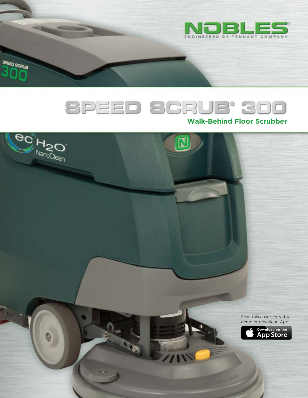

# SPEED SCRUB' 300

**Contract** 

SPEED SCRUB 300

#### **Walk-Behind Floor Scrubber**

**ec** H<sub>20</sub> Scan this cover for virtual demo or download AppDownload on the **App Store**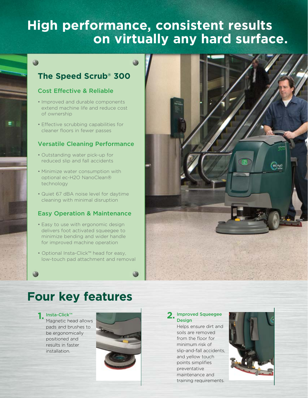## **High performance, consistent results on virtually any hard surface.**

### **The Speed Scrub® 300**

#### Cost Effective & Reliable

0

- Improved and durable components extend machine life and reduce cost of ownership
- Effective scrubbing capabilities for cleaner floors in fewer passes

#### Versatile Cleaning Performance

- Outstanding water pick-up for reduced slip and fall accidents
- Minimize water consumption with optional ec-H2O NanoClean® technology
- Quiet 67 dBA noise level for daytime cleaning with minimal disruption

#### Easy Operation & Maintenance

- Easy to use with ergonomic design delivers foot activated squeegee to minimize bending and wider handle for improved machine operation
- Optional Insta-Click™ head for easy, low-touch pad attachment and removal



## **Four key features**

#### Insta-Click™

Magnetic head allows pads and brushes to be ergonomically positioned and results in faster installation.



## Design

Helps ensure dirt and soils are removed from the floor for minimum risk of slip-and-fall accidents, and yellow touch points simplifies preventative maintenance and training requirements.

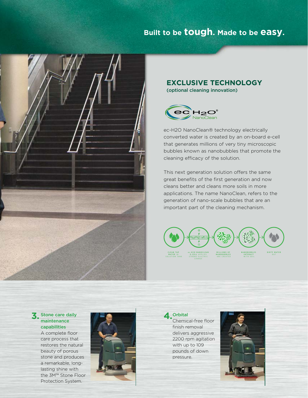### **Built to be tough. Made to be easy.**



#### **EXCLUSIVE TECHNOLOGY**

(optional cleaning innovation)



ec-H2O NanoClean® technology electrically converted water is created by an on-board e-cell that generates millions of very tiny microscopic bubbles known as nanobubbles that promote the cleaning efficacy of the solution.

This next generation solution offers the same great benefits of the first generation and now cleans better and cleans more soils in more applications. The name NanoClean, refers to the generation of nano-scale bubbles that are an important part of the cleaning mechanism.



#### Stone care daily **3.** maintenance capabilities

A complete floor care process that restores the natural beauty of porous stone and produces a remarkable, longlasting shine with the 3M™ Stone Floor Protection System.



Orbital **4.**

Chemical-free floor finish removal delivers aggressive 2200 rpm agitation with up to 109 pounds of down pressure.